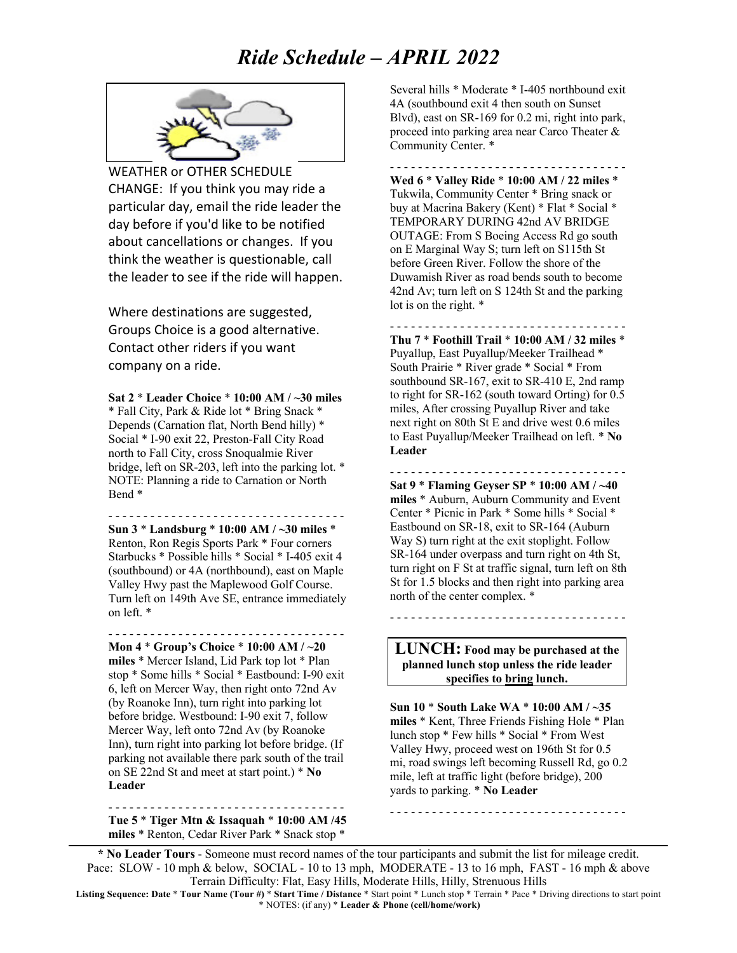# *Ride Schedule – APRIL 2022*



WEATHER or OTHER SCHEDULE CHANGE: If you think you may ride a particular day, email the ride leader the day before if you'd like to be notified about cancellations or changes. If you think the weather is questionable, call the leader to see if the ride will happen.

Where destinations are suggested, Groups Choice is a good alternative. Contact other riders if you want company on a ride.

**Sat 2** \* **Leader Choice** \* **10:00 AM / ~30 miles** \* Fall City, Park & Ride lot \* Bring Snack \* Depends (Carnation flat, North Bend hilly) \* Social \* I-90 exit 22, Preston-Fall City Road north to Fall City, cross Snoqualmie River bridge, left on SR-203, left into the parking lot. \* NOTE: Planning a ride to Carnation or North Bend \*

- - - - - - - - - - - - - - - - - - - - - - - - - - - - - - - - - - **Sun 3** \* **Landsburg** \* **10:00 AM / ~30 miles** \* Renton, Ron Regis Sports Park \* Four corners Starbucks \* Possible hills \* Social \* I-405 exit 4 (southbound) or 4A (northbound), east on Maple Valley Hwy past the Maplewood Golf Course. Turn left on 149th Ave SE, entrance immediately on left. \*

- - - - - - - - - - - - - - - - - - - - - - - - - - - - - - - - - -

**Mon 4** \* **Group's Choice** \* **10:00 AM / ~20 miles** \* Mercer Island, Lid Park top lot \* Plan stop \* Some hills \* Social \* Eastbound: I-90 exit 6, left on Mercer Way, then right onto 72nd Av (by Roanoke Inn), turn right into parking lot before bridge. Westbound: I-90 exit 7, follow Mercer Way, left onto 72nd Av (by Roanoke Inn), turn right into parking lot before bridge. (If parking not available there park south of the trail on SE 22nd St and meet at start point.) \* **No Leader**

- - - - - - - - - - - - - - - - - - - - - - - - - - - - - - - - - - **Tue 5** \* **Tiger Mtn & Issaquah** \* **10:00 AM /45 miles** \* Renton, Cedar River Park \* Snack stop \*

Several hills \* Moderate \* I-405 northbound exit 4A (southbound exit 4 then south on Sunset Blvd), east on SR-169 for 0.2 mi, right into park, proceed into parking area near Carco Theater & Community Center. \*

- - - - - - - - - - - - - - - - - - - - - - - - - - - - - - - - - - **Wed 6** \* **Valley Ride** \* **10:00 AM / 22 miles** \* Tukwila, Community Center \* Bring snack or buy at Macrina Bakery (Kent) \* Flat \* Social \* TEMPORARY DURING 42nd AV BRIDGE OUTAGE: From S Boeing Access Rd go south on E Marginal Way S; turn left on S115th St before Green River. Follow the shore of the Duwamish River as road bends south to become 42nd Av; turn left on S 124th St and the parking lot is on the right. \*

- - - - - - - - - - - - - - - - - - - - - - - - - - - - - - - - - - **Thu 7** \* **Foothill Trail** \* **10:00 AM / 32 miles** \* Puyallup, East Puyallup/Meeker Trailhead \* South Prairie \* River grade \* Social \* From southbound SR-167, exit to SR-410 E, 2nd ramp to right for SR-162 (south toward Orting) for 0.5 miles, After crossing Puyallup River and take next right on 80th St E and drive west 0.6 miles to East Puyallup/Meeker Trailhead on left. \* **No Leader**

**Sat 9** \* **Flaming Geyser SP** \* **10:00 AM / ~40 miles** \* Auburn, Auburn Community and Event Center \* Picnic in Park \* Some hills \* Social \* Eastbound on SR-18, exit to SR-164 (Auburn Way S) turn right at the exit stoplight. Follow SR-164 under overpass and turn right on 4th St, turn right on F St at traffic signal, turn left on 8th St for 1.5 blocks and then right into parking area north of the center complex. \*

- - - - - - - - - - - - - - - - - - - - - - - - - - - - - - - - - -

**LUNCH: Food may be purchased at the planned lunch stop unless the ride leader specifies to bring lunch.**

- - - - - - - - - - - - - - - - - - - - - - - - - - - - - - - - - -

**Sun 10** \* **South Lake WA** \* **10:00 AM / ~35 miles** \* Kent, Three Friends Fishing Hole \* Plan lunch stop \* Few hills \* Social \* From West Valley Hwy, proceed west on 196th St for 0.5 mi, road swings left becoming Russell Rd, go 0.2 mile, left at traffic light (before bridge), 200 yards to parking. \* **No Leader**

- - - - - - - - - - - - - - - - - - - - - - - - - - - - - - - - - -

**\* No Leader Tours** - Someone must record names of the tour participants and submit the list for mileage credit. Pace: SLOW - 10 mph & below, SOCIAL - 10 to 13 mph, MODERATE - 13 to 16 mph, FAST - 16 mph & above Terrain Difficulty: Flat, Easy Hills, Moderate Hills, Hilly, Strenuous Hills

**Listing Sequence: Date** \* **Tour Name (Tour #)** \* **Start Time / Distance** \* Start point \* Lunch stop \* Terrain \* Pace \* Driving directions to start point \* NOTES: (if any) \* **Leader & Phone (cell/home/work)**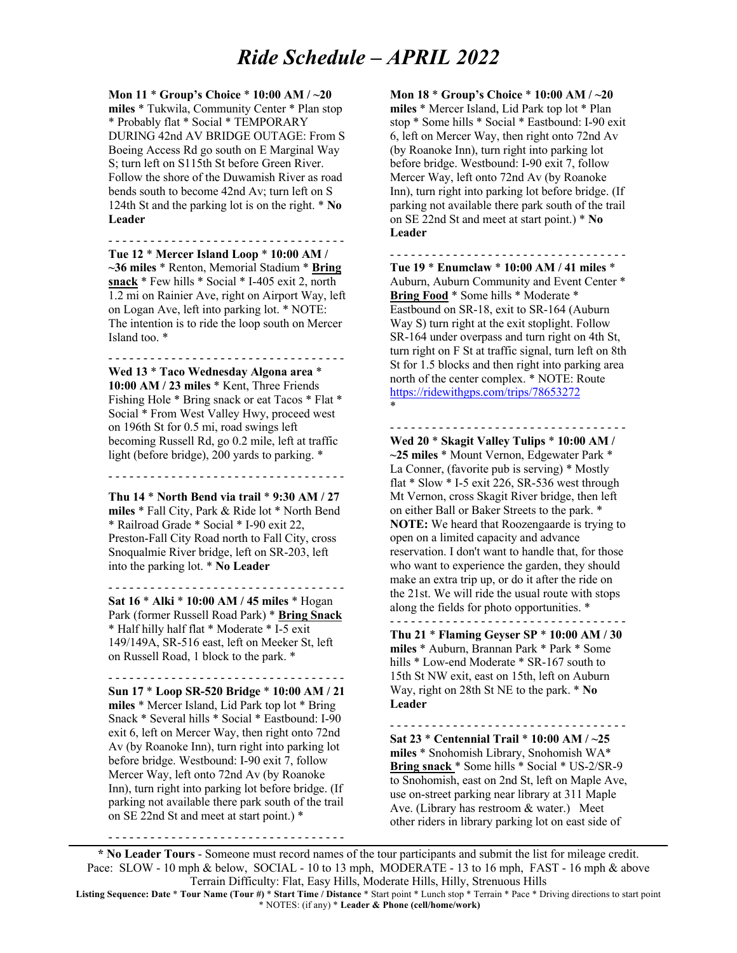### *Ride Schedule – APRIL 2022*

**Mon 11** \* **Group's Choice** \* **10:00 AM / ~20 miles** \* Tukwila, Community Center \* Plan stop \* Probably flat \* Social \* TEMPORARY DURING 42nd AV BRIDGE OUTAGE: From S Boeing Access Rd go south on E Marginal Way S; turn left on S115th St before Green River. Follow the shore of the Duwamish River as road bends south to become 42nd Av; turn left on S 124th St and the parking lot is on the right. \* **No Leader**

- - - - - - - - - - - - - - - - - - - - - - - - - - - - - - - - - - **Tue 12** \* **Mercer Island Loop** \* **10:00 AM /** 

**~36 miles** \* Renton, Memorial Stadium \* **Bring snack** \* Few hills \* Social \* I-405 exit 2, north 1.2 mi on Rainier Ave, right on Airport Way, left on Logan Ave, left into parking lot. \* NOTE: The intention is to ride the loop south on Mercer Island too. \*

- - - - - - - - - - - - - - - - - - - - - - - - - - - - - - - - - -

**Wed 13** \* **Taco Wednesday Algona area** \* **10:00 AM / 23 miles** \* Kent, Three Friends Fishing Hole \* Bring snack or eat Tacos \* Flat \* Social \* From West Valley Hwy, proceed west on 196th St for 0.5 mi, road swings left becoming Russell Rd, go 0.2 mile, left at traffic light (before bridge), 200 yards to parking. \*

**Thu 14** \* **North Bend via trail** \* **9:30 AM / 27 miles** \* Fall City, Park & Ride lot \* North Bend \* Railroad Grade \* Social \* I-90 exit 22, Preston-Fall City Road north to Fall City, cross Snoqualmie River bridge, left on SR-203, left

into the parking lot. \* **No Leader**

- - - - - - - - - - - - - - - - - - - - - - - - - - - - - - - - - - **Sat 16** \* **Alki** \* **10:00 AM / 45 miles** \* Hogan Park (former Russell Road Park) \* **Bring Snack** \* Half hilly half flat \* Moderate \* I-5 exit 149/149A, SR-516 east, left on Meeker St, left

on Russell Road, 1 block to the park. \*

- - - - - - - - - - - - - - - - - - - - - - - - - - - - - - - - - -

**Sun 17** \* **Loop SR-520 Bridge** \* **10:00 AM / 21 miles** \* Mercer Island, Lid Park top lot \* Bring Snack \* Several hills \* Social \* Eastbound: I-90 exit 6, left on Mercer Way, then right onto 72nd Av (by Roanoke Inn), turn right into parking lot before bridge. Westbound: I-90 exit 7, follow Mercer Way, left onto 72nd Av (by Roanoke Inn), turn right into parking lot before bridge. (If parking not available there park south of the trail on SE 22nd St and meet at start point.) \*

- - - - - - - - - - - - - - - - - - - - - - - - - - - - - - - - - -

**Mon 18** \* **Group's Choice** \* **10:00 AM / ~20 miles** \* Mercer Island, Lid Park top lot \* Plan stop \* Some hills \* Social \* Eastbound: I-90 exit 6, left on Mercer Way, then right onto 72nd Av (by Roanoke Inn), turn right into parking lot before bridge. Westbound: I-90 exit 7, follow Mercer Way, left onto 72nd Av (by Roanoke Inn), turn right into parking lot before bridge. (If parking not available there park south of the trail on SE 22nd St and meet at start point.) \* **No Leader**

- - - - - - - - - - - - - - - - - - - - - - - - - - - - - - - - - -

**Tue 19** \* **Enumclaw** \* **10:00 AM / 41 miles** \* Auburn, Auburn Community and Event Center \* **Bring Food** \* Some hills \* Moderate \* Eastbound on SR-18, exit to SR-164 (Auburn Way S) turn right at the exit stoplight. Follow SR-164 under overpass and turn right on 4th St, turn right on F St at traffic signal, turn left on 8th St for 1.5 blocks and then right into parking area north of the center complex. \* NOTE: Route https://ridewithgps.com/trips/78653272 \*

- - - - - - - - - - - - - - - - - - - - - - - - - - - - - - - - - -

**Wed 20** \* **Skagit Valley Tulips** \* **10:00 AM / ~25 miles** \* Mount Vernon, Edgewater Park \* La Conner, (favorite pub is serving) \* Mostly flat \* Slow \* I-5 exit 226, SR-536 west through Mt Vernon, cross Skagit River bridge, then left on either Ball or Baker Streets to the park. \* **NOTE:** We heard that Roozengaarde is trying to open on a limited capacity and advance reservation. I don't want to handle that, for those who want to experience the garden, they should make an extra trip up, or do it after the ride on the 21st. We will ride the usual route with stops along the fields for photo opportunities. \*

- - - - - - - - - - - - - - - - - - - - - - - - - - - - - - - - - -

**Thu 21** \* **Flaming Geyser SP** \* **10:00 AM / 30 miles** \* Auburn, Brannan Park \* Park \* Some hills \* Low-end Moderate \* SR-167 south to 15th St NW exit, east on 15th, left on Auburn Way, right on 28th St NE to the park. \* **No Leader**

- - - - - - - - - - - - - - - - - - - - - - - - - - - - - - - - - -

**Sat 23** \* **Centennial Trail** \* **10:00 AM / ~25 miles** \* Snohomish Library, Snohomish WA\* **Bring snack** \* Some hills \* Social \* US-2/SR-9 to Snohomish, east on 2nd St, left on Maple Ave, use on-street parking near library at 311 Maple Ave. (Library has restroom & water.) Meet other riders in library parking lot on east side of

**\* No Leader Tours** - Someone must record names of the tour participants and submit the list for mileage credit. Pace: SLOW - 10 mph & below, SOCIAL - 10 to 13 mph, MODERATE - 13 to 16 mph, FAST - 16 mph & above Terrain Difficulty: Flat, Easy Hills, Moderate Hills, Hilly, Strenuous Hills

**Listing Sequence: Date** \* **Tour Name (Tour #)** \* **Start Time / Distance** \* Start point \* Lunch stop \* Terrain \* Pace \* Driving directions to start point \* NOTES: (if any) \* **Leader & Phone (cell/home/work)**